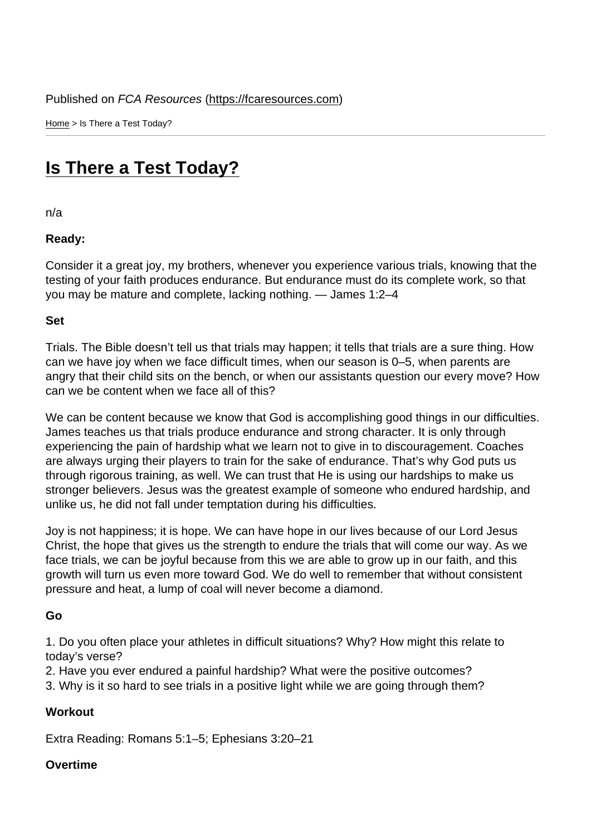Home > Is There a Test Today?

## [Is T](https://fcaresources.com/)here a Test Today?

[n/a](https://fcaresources.com/devotional/there-test-today)

Ready:

Consider it a great joy, my brothers, whenever you experience various trials, knowing that the testing of your faith produces endurance. But endurance must do its complete work, so that you may be mature and complete, lacking nothing. — James 1:2–4

Set

Trials. The Bible doesn't tell us that trials may happen; it tells that trials are a sure thing. How can we have joy when we face difficult times, when our season is 0–5, when parents are angry that their child sits on the bench, or when our assistants question our every move? How can we be content when we face all of this?

We can be content because we know that God is accomplishing good things in our difficulties. James teaches us that trials produce endurance and strong character. It is only through experiencing the pain of hardship what we learn not to give in to discouragement. Coaches are always urging their players to train for the sake of endurance. That's why God puts us through rigorous training, as well. We can trust that He is using our hardships to make us stronger believers. Jesus was the greatest example of someone who endured hardship, and unlike us, he did not fall under temptation during his difficulties.

Joy is not happiness; it is hope. We can have hope in our lives because of our Lord Jesus Christ, the hope that gives us the strength to endure the trials that will come our way. As we face trials, we can be joyful because from this we are able to grow up in our faith, and this growth will turn us even more toward God. We do well to remember that without consistent pressure and heat, a lump of coal will never become a diamond.

Go

1. Do you often place your athletes in difficult situations? Why? How might this relate to today's verse?

2. Have you ever endured a painful hardship? What were the positive outcomes?

3. Why is it so hard to see trials in a positive light while we are going through them?

**Workout** 

Extra Reading: Romans 5:1–5; Ephesians 3:20–21

Overtime